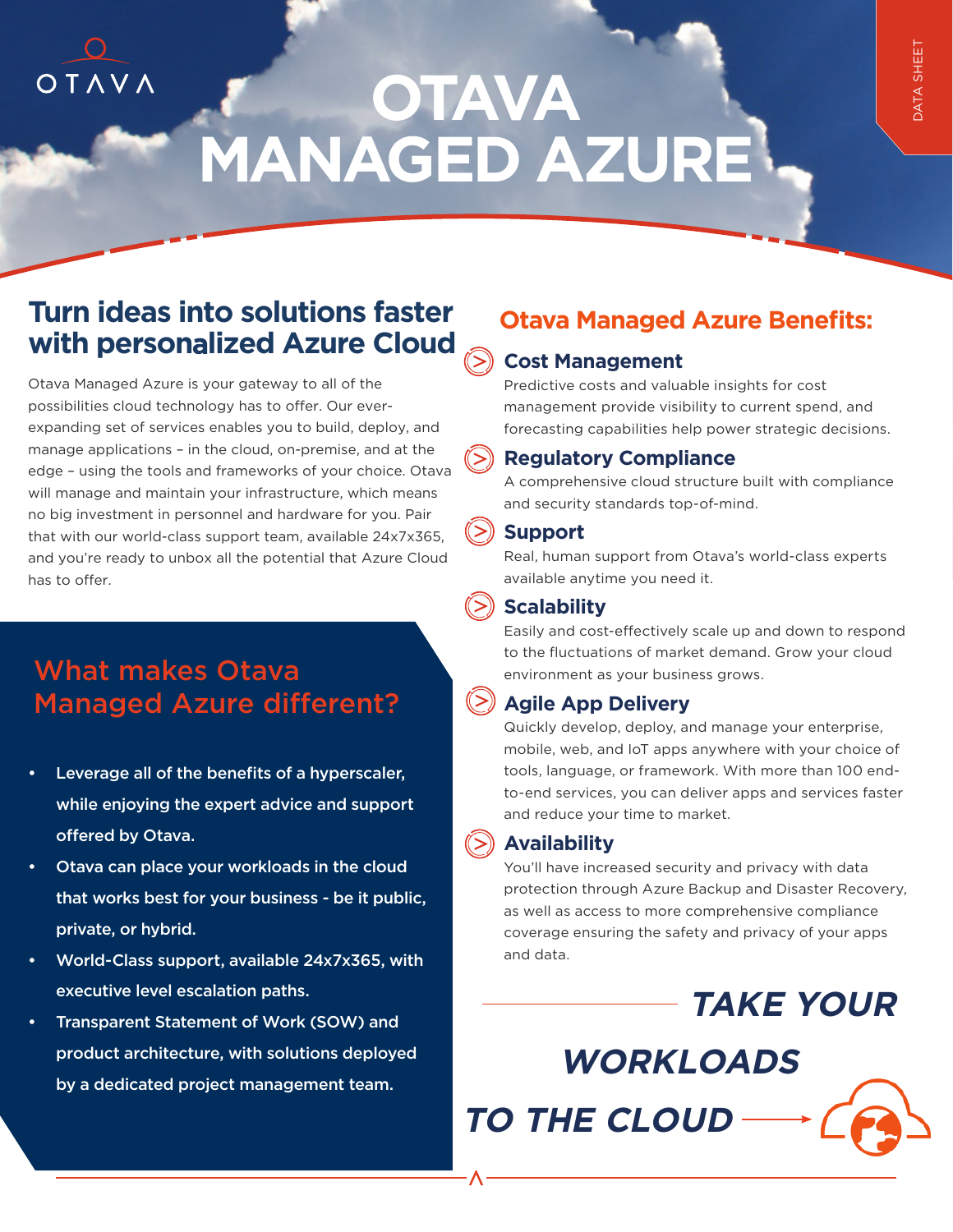# **OTAVA MANAGED AZURE**

# **Turn ideas into solutions faster with person**a**lized Azure Cloud**

 $O T A V A$ 

Otava Managed Azure is your gateway to all of the possibilities cloud technology has to offer. Our everexpanding set of services enables you to build, deploy, and manage applications – in the cloud, on-premise, and at the edge – using the tools and frameworks of your choice. Otava will manage and maintain your infrastructure, which means no big investment in personnel and hardware for you. Pair that with our world-class support team, available 24x7x365, and you're ready to unbox all the potential that Azure Cloud has to offer.

# What makes Otava Managed Azure different?

- Leverage all of the benefits of a hyperscaler, while enjoying the expert advice and support offered by Otava.
- Otava can place your workloads in the cloud that works best for your business - be it public, private, or hybrid.
- World-Class support, available 24x7x365, with executive level escalation paths.
- Transparent Statement of Work (SOW) and product architecture, with solutions deployed by a dedicated project management team.

## **Otava Managed Azure Benefits:**

#### **Cost Management**

Predictive costs and valuable insights for cost management provide visibility to current spend, and forecasting capabilities help power strategic decisions.

#### **Regulatory Compliance**

A comprehensive cloud structure built with compliance and security standards top-of-mind.

#### **Support**

Real, human support from Otava's world-class experts available anytime you need it.

## **Scalability**

Easily and cost-effectively scale up and down to respond to the fluctuations of market demand. Grow your cloud environment as your business grows.

## **Agile App Delivery**

Quickly develop, deploy, and manage your enterprise, mobile, web, and IoT apps anywhere with your choice of tools, language, or framework. With more than 100 endto-end services, you can deliver apps and services faster and reduce your time to market.

## **Availability**

You'll have increased security and privacy with data protection through Azure Backup and Disaster Recovery, as well as access to more comprehensive compliance coverage ensuring the safety and privacy of your apps and data.

**TAKE YOUR** 

**WORKLOADS** 

**TO THE CLOUD**